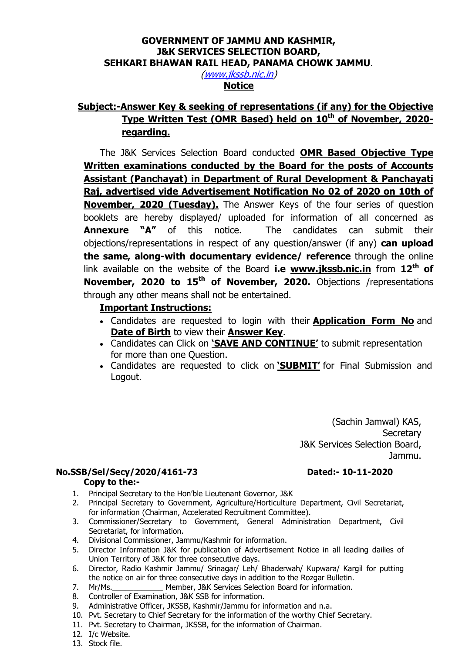## GOVERNMENT OF JAMMU AND KASHMIR, J&K SERVICES SELECTION BOARD, SEHKARI BHAWAN RAIL HEAD, PANAMA CHOWK JAMMU.

(www.jkssb.nic.in)

# **Notice**

## Subject:-Answer Key & seeking of representations (if any) for the Objective Type Written Test (OMR Based) held on 10<sup>th</sup> of November, 2020regarding.

The J&K Services Selection Board conducted OMR Based Objective Type Written examinations conducted by the Board for the posts of Accounts Assistant (Panchayat) in Department of Rural Development & Panchayati Raj, advertised vide Advertisement Notification No 02 of 2020 on 10th of November, 2020 (Tuesday). The Answer Keys of the four series of question booklets are hereby displayed/ uploaded for information of all concerned as Annexure "A" of this notice. The candidates can submit their objections/representations in respect of any question/answer (if any) can upload the same, along-with documentary evidence/ reference through the online link available on the website of the Board i.e  $www.jkssb.nic.in$  from  $12<sup>th</sup>$  of November, 2020 to 15<sup>th</sup> of November, 2020. Objections /representations through any other means shall not be entertained.

#### Important Instructions:

- Candidates are requested to login with their **Application Form No** and Date of Birth to view their Answer Key.
- Candidates can Click on 'SAVE AND CONTINUE' to submit representation for more than one Question.
- Candidates are requested to click on **SUBMIT'** for Final Submission and Logout.

(Sachin Jamwal) KAS, **Secretary**  J&K Services Selection Board, Jammu.

## No.SSB/Sel/Secy/2020/4161-73 Dated:- 10-11-2020

#### Copy to the:-

- 1. Principal Secretary to the Hon'ble Lieutenant Governor, J&K
- 2. Principal Secretary to Government, Agriculture/Horticulture Department, Civil Secretariat, for information (Chairman, Accelerated Recruitment Committee).
- 3. Commissioner/Secretary to Government, General Administration Department, Civil Secretariat, for information.
- 4. Divisional Commissioner, Jammu/Kashmir for information.
- 5. Director Information J&K for publication of Advertisement Notice in all leading dailies of Union Territory of J&K for three consecutive days.
- 6. Director, Radio Kashmir Jammu/ Srinagar/ Leh/ Bhaderwah/ Kupwara/ Kargil for putting the notice on air for three consecutive days in addition to the Rozgar Bulletin.
- 7. Mr/Ms. Member, J&K Services Selection Board for information.
- 8. Controller of Examination, J&K SSB for information.
- 9. Administrative Officer, JKSSB, Kashmir/Jammu for information and n.a.
- 10. Pvt. Secretary to Chief Secretary for the information of the worthy Chief Secretary.
- 11. Pvt. Secretary to Chairman, JKSSB, for the information of Chairman.
- 12. I/c Website.
- 13. Stock file.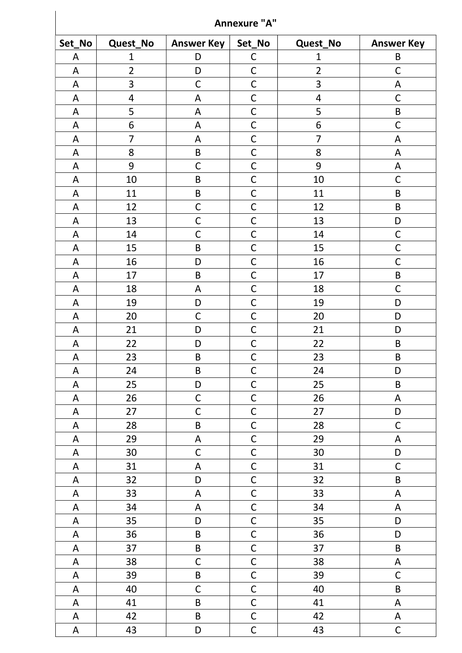| <b>Annexure "A"</b> |                         |                           |                |                         |                   |  |
|---------------------|-------------------------|---------------------------|----------------|-------------------------|-------------------|--|
| Set_No              | Quest_No                | <b>Answer Key</b>         | Set_No         | Quest_No                | <b>Answer Key</b> |  |
| A                   | $\mathbf{1}$            | D                         | $\mathsf C$    | $\mathbf 1$             | B                 |  |
| A                   | $\overline{2}$          | D                         | $\mathsf{C}$   | $\overline{2}$          | $\mathsf{C}$      |  |
| A                   | 3                       | $\mathsf C$               | $\mathsf C$    | 3                       | A                 |  |
| A                   | $\overline{\mathbf{4}}$ | A                         | $\mathsf C$    | $\overline{\mathbf{4}}$ | $\mathsf C$       |  |
| A                   | 5                       | A                         | $\mathsf C$    | 5                       | B                 |  |
| A                   | 6                       | A                         | $\mathsf C$    | 6                       | $\mathsf C$       |  |
| A                   | $\overline{7}$          | A                         | $\mathsf{C}$   | $\overline{7}$          | A                 |  |
| A                   | 8                       | $\sf B$                   | $\mathsf{C}$   | 8                       | A                 |  |
| A                   | 9                       | $\mathsf{C}$              | $\mathsf{C}$   | 9                       | A                 |  |
| A                   | 10                      | $\sf B$                   | $\mathsf{C}$   | 10                      | $\mathsf{C}$      |  |
| A                   | 11                      | $\sf B$                   | $\mathsf C$    | 11                      | B                 |  |
| A                   | 12                      | $\mathsf C$               | $\mathsf C$    | 12                      | B                 |  |
| A                   | 13                      | $\mathsf{C}$              | $\mathsf C$    | 13                      | D                 |  |
| A                   | 14                      | $\mathsf C$               | $\mathsf C$    | 14                      | $\mathsf C$       |  |
| A                   | 15                      | $\sf B$                   | $\mathsf C$    | 15                      | $\mathsf C$       |  |
| A                   | 16                      | D                         | $\mathsf{C}$   | 16                      | $\mathsf{C}$      |  |
| A                   | 17                      | $\sf B$                   | $\mathsf C$    | 17                      | B                 |  |
| A                   | 18                      | ${\sf A}$                 | $\mathsf C$    | 18                      | $\mathsf C$       |  |
| A                   | 19                      | D                         | $\mathsf C$    | 19                      | D                 |  |
| A                   | 20                      | $\mathsf{C}$              | $\mathsf{C}$   | 20                      | D                 |  |
| A                   | 21                      | D                         | $\mathsf{C}$   | 21                      | D                 |  |
| A                   | 22                      | D                         | $\mathsf{C}$   | 22                      | $\sf B$           |  |
| A                   | 23                      | $\mathsf B$               | $\overline{C}$ | 23                      | B                 |  |
| A                   | 24                      | $\sf B$                   | $\mathsf C$    | 24                      | D                 |  |
| A                   | 25                      | D                         | $\mathsf C$    | 25                      | B                 |  |
| A                   | 26                      | C                         | $\mathsf C$    | 26                      | A                 |  |
| A                   | 27                      | $\mathsf{C}$              | $\mathsf C$    | 27                      | D                 |  |
| A                   | 28                      | $\sf B$                   | $\mathsf{C}$   | 28                      | $\mathsf C$       |  |
| A                   | 29                      | $\boldsymbol{\mathsf{A}}$ | $\mathsf C$    | 29                      | A                 |  |
| $\mathsf A$         | 30                      | $\mathsf C$               | $\mathsf C$    | 30                      | D                 |  |
| A                   | 31                      | $\mathsf A$               | $\mathsf C$    | 31                      | $\mathsf C$       |  |
| A                   | 32                      | D                         | $\mathsf C$    | 32                      | $\sf B$           |  |
| A                   | 33                      | $\mathsf A$               | $\mathsf C$    | 33                      | A                 |  |
| A                   | 34                      | A                         | $\mathsf C$    | 34                      | A                 |  |
| $\mathsf A$         | 35                      | D                         | $\mathsf{C}$   | 35                      | D                 |  |
| A                   | 36                      | $\sf B$                   | $\mathsf C$    | 36                      | D                 |  |
| $\mathsf A$         | 37                      | $\sf B$                   | $\overline{C}$ | 37                      | $\sf B$           |  |
| A                   | 38                      | $\mathsf C$               | $\mathsf{C}$   | 38                      | A                 |  |
| $\mathsf A$         | 39                      | $\sf B$                   | $\mathsf{C}$   | 39                      | $\mathsf C$       |  |
| A                   | 40                      | $\mathsf C$               | $\mathsf C$    | 40                      | B                 |  |
| A                   | 41                      | $\sf B$                   | $\mathsf C$    | 41                      | A                 |  |
| A                   | 42                      | $\sf B$                   | $\mathsf C$    | 42                      | A                 |  |
| A                   | 43                      | D                         | $\mathsf{C}$   | 43                      | $\mathsf C$       |  |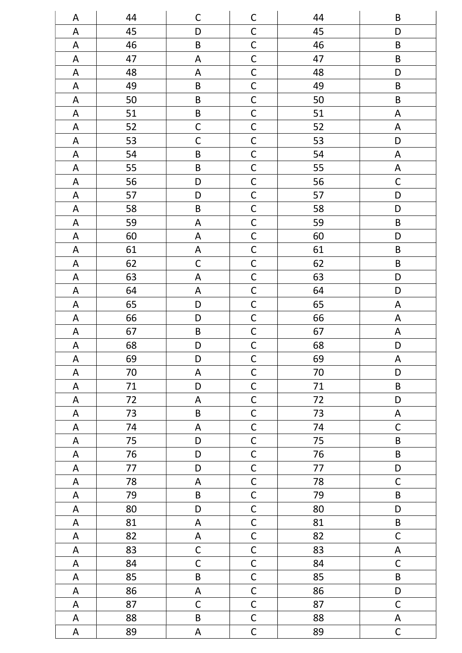| A                         | 44 | $\mathsf{C}$              | $\mathsf C$             | 44     | $\sf B$                   |
|---------------------------|----|---------------------------|-------------------------|--------|---------------------------|
| $\boldsymbol{\mathsf{A}}$ | 45 | D                         | $\mathsf{C}$            | 45     | D                         |
| $\boldsymbol{\mathsf{A}}$ | 46 | $\sf B$                   | $\overline{C}$          | 46     | $\sf B$                   |
| $\mathsf A$               | 47 | $\mathsf A$               | $\overline{C}$          | 47     | $\sf B$                   |
| $\mathsf A$               | 48 | $\mathsf A$               | $\overline{C}$          | 48     | D                         |
| A                         | 49 | $\sf B$                   | $\mathsf{C}$            | 49     | $\sf B$                   |
| $\boldsymbol{\mathsf{A}}$ | 50 | $\sf B$                   | $\overline{C}$          | 50     | $\sf B$                   |
| A                         | 51 | $\sf B$                   | $\mathsf{C}$            | 51     | A                         |
| $\boldsymbol{\mathsf{A}}$ | 52 | $\mathsf{C}$              | $\overline{C}$          | 52     | $\mathsf A$               |
| $\boldsymbol{\mathsf{A}}$ | 53 | $\mathsf{C}$              | $\overline{C}$          | 53     | D                         |
| $\boldsymbol{\mathsf{A}}$ | 54 | $\sf B$                   | $\mathsf{C}$            | 54     | $\mathsf A$               |
| $\mathsf A$               | 55 | $\sf B$                   | $\mathsf{C}$            | 55     | A                         |
| $\mathsf A$               | 56 | D                         | $\mathsf{C}$            | 56     | $\mathsf C$               |
| $\boldsymbol{\mathsf{A}}$ | 57 | D                         | $\mathsf{C}$            | 57     | D                         |
| $\mathsf A$               | 58 | $\sf B$                   | $\overline{\mathsf{C}}$ | 58     | D                         |
| $\mathsf A$               | 59 | $\mathsf A$               | $\overline{C}$          | 59     | $\sf B$                   |
| $\mathsf A$               | 60 | $\mathsf A$               | $\overline{C}$          | 60     | D                         |
| $\boldsymbol{\mathsf{A}}$ | 61 | $\boldsymbol{\mathsf{A}}$ | $\overline{C}$          | 61     | $\sf B$                   |
| A                         | 62 | $\mathsf C$               | $\overline{C}$          | 62     | $\sf B$                   |
| $\boldsymbol{\mathsf{A}}$ | 63 | $\mathsf A$               | $\overline{C}$          | 63     | D                         |
| A                         | 64 | $\mathsf A$               | $\mathsf{C}$            | 64     | D                         |
| A                         | 65 | D                         | $\mathsf{C}$            | 65     | $\mathsf A$               |
| A                         | 66 | D                         | $\mathsf{C}$            | 66     | A                         |
| A                         | 67 | $\sf B$                   | $\mathsf{C}$            | 67     | $\mathsf A$               |
| $\boldsymbol{\mathsf{A}}$ | 68 | $\mathsf{D}%$             | $\mathsf{C}$            | 68     | D                         |
| $\overline{\mathsf{A}}$   | 69 | $\mathsf D$               | $\overline{C}$          | 69     | $\boldsymbol{\mathsf{A}}$ |
| A                         | 70 | $\mathsf A$               | $\mathsf{C}$            | 70     | D                         |
| $\mathsf A$               | 71 | D                         | $\mathsf C$             | $71\,$ | $\sf B$                   |
| A                         | 72 | A                         | $\mathsf{C}$            | 72     | D                         |
| $\mathsf A$               | 73 | $\sf B$                   | $\overline{C}$          | 73     | A                         |
| A                         | 74 | A                         | $\overline{\mathsf{C}}$ | 74     | $\mathsf{C}$              |
| A                         | 75 | D                         | $\overline{C}$          | 75     | $\sf B$                   |
| A                         | 76 | D                         | $\overline{C}$          | 76     | $\sf B$                   |
| $\mathsf A$               | 77 | D                         | $\overline{C}$          | $77$   | D                         |
| $\mathsf A$               | 78 | A                         | $\overline{C}$          | 78     | $\mathsf C$               |
| $\mathsf A$               | 79 | B                         | $\overline{C}$          | 79     | $\sf B$                   |
| A                         | 80 | D                         | $\mathsf{C}$            | 80     | D                         |
| A                         | 81 | $\mathsf A$               | $\overline{C}$          | 81     | $\sf B$                   |
| A                         | 82 | A                         | $\mathsf C$             | 82     | $\mathsf C$               |
| $\mathsf A$               | 83 | $\mathsf C$               | $\mathsf{C}$            | 83     | $\mathsf A$               |
| $\mathsf A$               | 84 | $\mathsf C$               | $\mathsf C$             | 84     | $\mathsf C$               |
| A                         | 85 | B                         | $\overline{C}$          | 85     | $\sf B$                   |
| $\mathsf A$               | 86 | A                         | $\mathsf{C}$            | 86     | D                         |
| A                         | 87 | $\mathsf C$               | $\overline{C}$          | 87     | $\mathsf C$               |
| $\mathsf A$               | 88 | $\sf B$                   | $\overline{C}$          | 88     | A                         |
| A                         | 89 | $\mathsf A$               | $\overline{C}$          | 89     | $\mathsf{C}$              |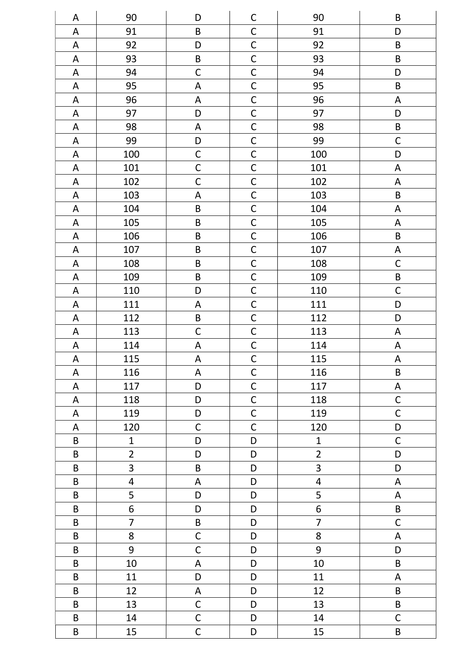| A                         | 90                      | D                         | $\mathsf C$    | 90                      | $\sf B$                   |
|---------------------------|-------------------------|---------------------------|----------------|-------------------------|---------------------------|
| A                         | 91                      | $\sf B$                   | $\mathsf{C}$   | 91                      | D                         |
| $\boldsymbol{\mathsf{A}}$ | 92                      | D                         | $\mathsf{C}$   | 92                      | $\sf B$                   |
| ${\sf A}$                 | 93                      | $\sf B$                   | $\overline{C}$ | 93                      | $\sf B$                   |
| $\mathsf A$               | 94                      | $\mathsf{C}$              | $\overline{C}$ | 94                      | D                         |
| A                         | 95                      | $\mathsf A$               | $\mathsf{C}$   | 95                      | $\sf B$                   |
| A                         | 96                      | $\boldsymbol{\mathsf{A}}$ | $\mathsf{C}$   | 96                      | $\mathsf A$               |
| A                         | 97                      | D                         | $\mathsf C$    | 97                      | D                         |
| A                         | 98                      | $\boldsymbol{\mathsf{A}}$ | $\mathsf C$    | 98                      | $\sf B$                   |
| $\boldsymbol{\mathsf{A}}$ | 99                      | $\mathsf D$               | $\mathsf{C}$   | 99                      | $\mathsf C$               |
| $\mathsf A$               | 100                     | $\mathsf C$               | $\mathsf C$    | 100                     | D                         |
| $\mathsf A$               | 101                     | $\mathsf C$               | $\mathsf C$    | 101                     | A                         |
| $\mathsf A$               | 102                     | $\mathsf C$               | $\mathsf C$    | 102                     | A                         |
| A                         | 103                     | $\boldsymbol{\mathsf{A}}$ | $\mathsf C$    | 103                     | $\sf B$                   |
| A                         | 104                     | $\sf B$                   | $\mathsf{C}$   | 104                     | A                         |
| $\mathsf A$               | 105                     | $\sf B$                   | $\mathsf{C}$   | 105                     | $\mathsf A$               |
| A                         | 106                     | $\sf B$                   | $\mathsf{C}$   | 106                     | B                         |
| $\mathsf A$               | 107                     | B                         | $\overline{C}$ | 107                     | $\mathsf A$               |
| A                         | 108                     | $\sf B$                   | $\mathsf{C}$   | 108                     | $\mathsf C$               |
| $\mathsf A$               | 109                     | B                         | $\overline{C}$ | 109                     | $\sf B$                   |
| A                         | 110                     | D                         | $\mathsf{C}$   | 110                     | $\mathsf C$               |
| A                         | 111                     | A                         | $\mathsf{C}$   | 111                     | D                         |
| A                         | 112                     | $\sf B$                   | $\mathsf C$    | 112                     | D                         |
| A                         | 113                     | $\mathsf C$               | $\mathsf C$    | 113                     | $\mathsf A$               |
| $\boldsymbol{\mathsf{A}}$ | 114                     | $\boldsymbol{\mathsf{A}}$ | $\mathsf{C}$   | 114                     | $\mathsf A$               |
| $\boldsymbol{\mathsf{A}}$ | 115                     | $\boldsymbol{\mathsf{A}}$ | $\overline{C}$ | 115                     | $\boldsymbol{\mathsf{A}}$ |
| A                         | 116                     | A                         | $\mathsf{C}$   | 116                     | $\sf B$                   |
| A                         | 117                     | D                         | $\mathsf C$    | 117                     | A                         |
| A                         | 118                     | D                         | $\mathsf{C}$   | 118                     | $\mathsf C$               |
| A                         | 119                     | D                         | $\mathsf{C}$   | 119                     | $\mathsf C$               |
| A                         | 120                     | $\mathsf{C}$              | $\mathsf{C}$   | 120                     | D                         |
| $\sf B$                   | $\mathbf{1}$            | D                         | D              | $\mathbf{1}$            | $\mathsf C$               |
| $\sf B$                   | $\overline{2}$          | D                         | D              | $\overline{2}$          | D                         |
| $\sf B$                   | $\overline{3}$          | $\sf B$                   | $\mathsf D$    | 3                       | D                         |
| $\sf B$                   | $\overline{\mathbf{4}}$ | A                         | D              | $\overline{\mathbf{4}}$ | A                         |
| $\sf B$                   | 5                       | D                         | D              | 5                       | A                         |
| $\sf B$                   | 6                       | D                         | D              | 6                       | $\sf B$                   |
| $\sf B$                   | $\overline{7}$          | $\sf B$                   | D              | $\overline{7}$          | $\mathsf{C}$              |
| $\sf B$                   | 8                       | $\mathsf C$               | D              | 8                       | A                         |
| $\sf B$                   | 9                       | $\mathsf C$               | D              | 9                       | D                         |
| $\sf B$                   | 10                      | $\mathsf A$               | D              | 10                      | $\sf B$                   |
| $\sf B$                   | 11                      | D                         | D              | 11                      | A                         |
| $\sf B$                   | 12                      | A                         | D              | 12                      | B                         |
| $\sf B$                   | 13                      | $\mathsf C$               | D              | 13                      | $\sf B$                   |
| $\sf B$                   | 14                      | $\mathsf C$               | D              | 14                      | $\mathsf C$               |
| $\sf B$                   | 15                      | $\mathsf{C}$              | D              | 15                      | $\mathsf B$               |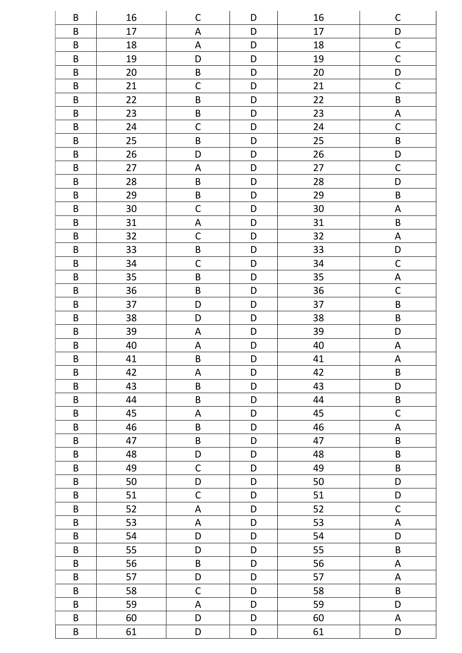| B                       | 16 | $\mathsf{C}$              | D           | 16 | $\mathsf C$               |
|-------------------------|----|---------------------------|-------------|----|---------------------------|
| $\sf B$                 | 17 | $\mathsf A$               | D           | 17 | D                         |
| $\sf B$                 | 18 | $\boldsymbol{\mathsf{A}}$ | D           | 18 | $\overline{C}$            |
| $\sf B$                 | 19 | D                         | D           | 19 | $\overline{C}$            |
| $\sf B$                 | 20 | $\sf B$                   | D           | 20 | $\mathsf D$               |
| $\sf B$                 | 21 | $\mathsf C$               | D           | 21 | $\mathsf C$               |
| $\sf B$                 | 22 | $\sf B$                   | D           | 22 | $\sf B$                   |
| $\sf B$                 | 23 | $\sf B$                   | D           | 23 | $\mathsf A$               |
| $\sf B$                 | 24 | $\mathsf{C}$              | D           | 24 | $\mathsf C$               |
| $\sf B$                 | 25 | $\sf B$                   | D           | 25 | $\sf B$                   |
| $\sf B$                 | 26 | D                         | D           | 26 | $\mathsf D$               |
| $\sf B$                 | 27 | $\boldsymbol{\mathsf{A}}$ | D           | 27 | $\mathsf C$               |
| $\sf B$                 | 28 | $\sf B$                   | D           | 28 | D                         |
| $\sf B$                 | 29 | $\sf B$                   | D           | 29 | $\sf B$                   |
| $\sf B$                 | 30 | $\mathsf C$               | D           | 30 | $\boldsymbol{\mathsf{A}}$ |
| $\sf B$                 | 31 | $\boldsymbol{\mathsf{A}}$ | D           | 31 | $\sf B$                   |
| $\sf B$                 | 32 | $\mathsf C$               | D           | 32 | $\mathsf A$               |
| $\sf B$                 | 33 | $\sf B$                   | D           | 33 | $\mathsf D$               |
| $\sf B$                 | 34 | $\mathsf{C}$              | D           | 34 | $\mathsf C$               |
| $\sf B$                 | 35 | $\sf B$                   | D           | 35 | $\boldsymbol{\mathsf{A}}$ |
| $\sf B$                 | 36 | $\sf B$                   | D           | 36 | $\mathsf{C}$              |
| $\sf B$                 | 37 | D                         | D           | 37 | $\sf B$                   |
| $\sf B$                 | 38 | D                         | D           | 38 | $\sf B$                   |
| $\sf B$                 | 39 | A                         | D           | 39 | D                         |
| $\sf B$                 | 40 | A                         | D           | 40 | A                         |
| $\overline{\mathsf{B}}$ | 41 | $\sf B$                   | $\mathsf D$ | 41 | $\boldsymbol{\mathsf{A}}$ |
| B                       | 42 | $\mathsf A$               | D           | 42 | $\sf B$                   |
| $\sf B$                 | 43 | $\sf B$                   | D           | 43 | D                         |
| $\sf B$                 | 44 | $\sf B$                   | D           | 44 | $\sf B$                   |
| $\sf B$                 | 45 | $\mathsf A$               | D           | 45 | $\mathsf C$               |
| $\sf B$                 | 46 | $\sf B$                   | D           | 46 | A                         |
| $\sf B$                 | 47 | $\sf B$                   | D           | 47 | $\sf B$                   |
| $\sf B$                 | 48 | D                         | D           | 48 | $\sf B$                   |
| $\sf B$                 | 49 | $\mathsf C$               | D           | 49 | $\sf B$                   |
| $\sf B$                 | 50 | D                         | D           | 50 | D                         |
| $\sf B$                 | 51 | $\mathsf{C}$              | D           | 51 | $\mathsf D$               |
| $\sf B$                 | 52 | $\mathsf A$               | D           | 52 | $\mathsf C$               |
| $\sf B$                 | 53 | A                         | D           | 53 | $\mathsf A$               |
| $\sf B$                 | 54 | D                         | D           | 54 | $\mathsf D$               |
| $\sf B$                 | 55 | D                         | D           | 55 | $\sf B$                   |
| $\sf B$                 | 56 | $\sf B$                   | D           | 56 | A                         |
| $\sf B$                 | 57 | D                         | D           | 57 | $\mathsf A$               |
| $\sf B$                 | 58 | $\mathsf C$               | D           | 58 | $\sf B$                   |
| $\sf B$                 | 59 | $\mathsf A$               | D           | 59 | D                         |
| $\sf B$                 | 60 | D                         | D           | 60 | A                         |
| $\sf B$                 | 61 | D                         | D           | 61 | D                         |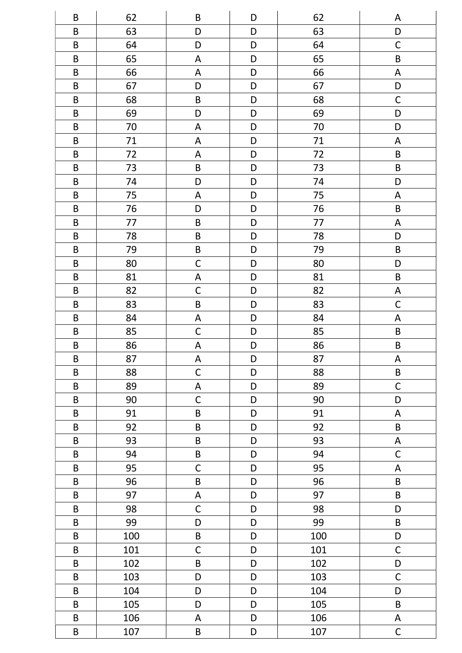| B                       | 62  | B                         | D           | 62     | A                         |
|-------------------------|-----|---------------------------|-------------|--------|---------------------------|
| $\sf B$                 | 63  | D                         | D           | 63     | D                         |
| $\sf B$                 | 64  | D                         | D           | 64     | $\mathsf C$               |
| $\sf B$                 | 65  | $\mathsf A$               | D           | 65     | $\sf B$                   |
| $\sf B$                 | 66  | $\boldsymbol{\mathsf{A}}$ | $\mathsf D$ | 66     | $\boldsymbol{\mathsf{A}}$ |
| $\sf B$                 | 67  | D                         | D           | 67     | D                         |
| $\sf B$                 | 68  | $\sf B$                   | D           | 68     | $\mathsf C$               |
| $\sf B$                 | 69  | D                         | D           | 69     | D                         |
| $\sf B$                 | 70  | $\boldsymbol{\mathsf{A}}$ | D           | 70     | D                         |
| $\sf B$                 | 71  | ${\sf A}$                 | D           | $71\,$ | $\boldsymbol{\mathsf{A}}$ |
| $\sf B$                 | 72  | $\boldsymbol{\mathsf{A}}$ | D           | 72     | $\sf B$                   |
| $\sf B$                 | 73  | $\sf B$                   | D           | 73     | $\sf B$                   |
| $\sf B$                 | 74  | D                         | D           | 74     | D                         |
| $\sf B$                 | 75  | A                         | D           | 75     | $\boldsymbol{\mathsf{A}}$ |
| $\sf B$                 | 76  | D                         | D           | 76     | $\sf B$                   |
| $\sf B$                 | 77  | $\sf B$                   | D           | $77$   | $\mathsf A$               |
| $\sf B$                 | 78  | $\sf B$                   | D           | 78     | D                         |
| $\sf B$                 | 79  | $\sf B$                   | D           | 79     | $\sf B$                   |
| $\sf B$                 | 80  | $\mathsf C$               | D           | 80     | D                         |
| $\sf B$                 | 81  | $\mathsf A$               | $\mathsf D$ | 81     | $\sf B$                   |
| $\sf B$                 | 82  | $\mathsf C$               | D           | 82     | $\mathsf A$               |
| $\sf B$                 | 83  | $\sf B$                   | D           | 83     | $\mathsf C$               |
| $\sf B$                 | 84  | ${\sf A}$                 | D           | 84     | $\mathsf A$               |
| $\sf B$                 | 85  | $\mathsf C$               | D           | 85     | $\sf B$                   |
| $\sf B$                 | 86  | $\boldsymbol{\mathsf{A}}$ | D           | 86     | $\sf B$                   |
| $\overline{\mathsf{B}}$ | 87  | $\boldsymbol{\mathsf{A}}$ | $\mathsf D$ | 87     | $\boldsymbol{\mathsf{A}}$ |
| $\sf B$                 | 88  | $\mathsf{C}$              | D           | 88     | $\sf B$                   |
| $\sf B$                 | 89  | $\mathsf A$               | D           | 89     | $\mathsf C$               |
| $\sf B$                 | 90  | $\mathsf C$               | D           | 90     | D                         |
| $\sf B$                 | 91  | $\sf B$                   | D           | 91     | A                         |
| $\sf B$                 | 92  | $\sf B$                   | D           | 92     | $\sf B$                   |
| $\sf B$                 | 93  | $\sf B$                   | D           | 93     | A                         |
| B                       | 94  | $\sf B$                   | D           | 94     | $\mathsf{C}$              |
| $\sf B$                 | 95  | $\mathsf{C}$              | $\mathsf D$ | 95     | $\mathsf A$               |
| $\sf B$                 | 96  | $\sf B$                   | $\mathsf D$ | 96     | $\sf B$                   |
| $\sf B$                 | 97  | $\boldsymbol{\mathsf{A}}$ | D           | 97     | $\sf B$                   |
| $\sf B$                 | 98  | $\mathsf C$               | D           | 98     | D                         |
| $\sf B$                 | 99  | D                         | D           | 99     | $\sf B$                   |
| $\sf B$                 | 100 | $\sf B$                   | D           | 100    | ${\sf D}$                 |
| $\sf B$                 | 101 | $\mathsf C$               | D           | 101    | $\mathsf C$               |
| $\sf B$                 | 102 | $\sf B$                   | D           | 102    | $\mathsf D$               |
| $\sf B$                 | 103 | D                         | $\mathsf D$ | 103    | $\mathsf C$               |
| $\sf B$                 | 104 | D                         | D           | 104    | D                         |
| $\sf B$                 | 105 | D                         | D           | 105    | $\sf B$                   |
| $\sf B$                 | 106 | A                         | D           | 106    | A                         |
| $\sf B$                 | 107 | $\sf B$                   | D           | 107    | $\mathsf C$               |